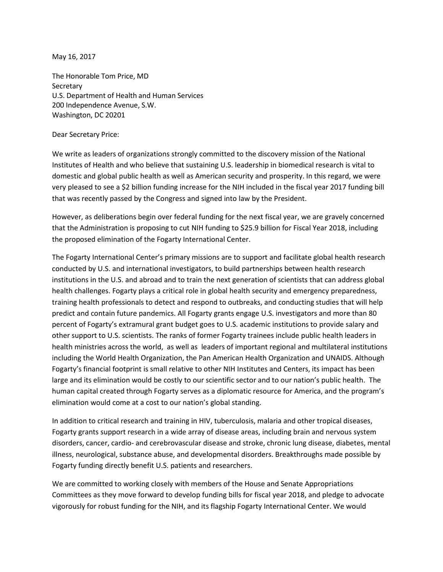May 16, 2017

The Honorable Tom Price, MD **Secretary** U.S. Department of Health and Human Services 200 Independence Avenue, S.W. Washington, DC 20201

## Dear Secretary Price:

We write as leaders of organizations strongly committed to the discovery mission of the National Institutes of Health and who believe that sustaining U.S. leadership in biomedical research is vital to domestic and global public health as well as American security and prosperity. In this regard, we were very pleased to see a \$2 billion funding increase for the NIH included in the fiscal year 2017 funding bill that was recently passed by the Congress and signed into law by the President.

However, as deliberations begin over federal funding for the next fiscal year, we are gravely concerned that the Administration is proposing to cut NIH funding to \$25.9 billion for Fiscal Year 2018, including the proposed elimination of the Fogarty International Center.

The Fogarty International Center's primary missions are to support and facilitate global health research conducted by U.S. and international investigators, to build partnerships between health research institutions in the U.S. and abroad and to train the next generation of scientists that can address global health challenges. Fogarty plays a critical role in global health security and emergency preparedness, training health professionals to detect and respond to outbreaks, and conducting studies that will help predict and contain future pandemics. All Fogarty grants engage U.S. investigators and more than 80 percent of Fogarty's extramural grant budget goes to U.S. academic institutions to provide salary and other support to U.S. scientists. The ranks of former Fogarty trainees include public health leaders in health ministries across the world, as well as leaders of important regional and multilateral institutions including the World Health Organization, the Pan American Health Organization and UNAIDS. Although Fogarty's financial footprint is small relative to other NIH Institutes and Centers, its impact has been large and its elimination would be costly to our scientific sector and to our nation's public health. The human capital created through Fogarty serves as a diplomatic resource for America, and the program's elimination would come at a cost to our nation's global standing.

In addition to critical research and training in HIV, tuberculosis, malaria and other tropical diseases, Fogarty grants support research in a wide array of disease areas, including brain and nervous system disorders, cancer, cardio- and cerebrovascular disease and stroke, chronic lung disease, diabetes, mental illness, neurological, substance abuse, and developmental disorders. Breakthroughs made possible by Fogarty funding directly benefit U.S. patients and researchers.

We are committed to working closely with members of the House and Senate Appropriations Committees as they move forward to develop funding bills for fiscal year 2018, and pledge to advocate vigorously for robust funding for the NIH, and its flagship Fogarty International Center. We would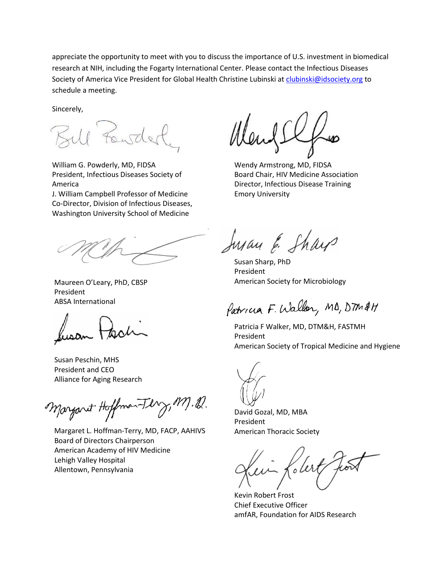appreciate the opportunity to meet with you to discuss the importance of U.S. investment in biomedical research at NIH, including the Fogarty International Center. Please contact the Infectious Diseases Society of America Vice President for Global Health Christine Lubinski a[t clubinski@idsociety.org](mailto:clubinski@idsociety.org) to schedule a meeting.

Sincerely,

William G. Powderly, MD, FIDSA President, Infectious Diseases Society of America

J. William Campbell Professor of Medicine Co-Director, Division of Infectious Diseases, Washington University School of Medicine

 Maureen O'Leary, PhD, CBSP President ABSA International

 Susan Peschin, MHS President and CEO Alliance for Aging Research

Margaret Hoffman-Ferry,

 Margaret L. Hoffman-Terry, MD, FACP, AAHIVS Board of Directors Chairperson American Academy of HIV Medicine Lehigh Valley Hospital Allentown, Pennsylvania

Wendy Armstrong, MD, FIDSA Board Chair, HIV Medicine Association Director, Infectious Disease Training Emory University

hyan & Sharp

Susan Sharp, PhD President American Society for Microbiology

Patricia F. Walker, MB, DTM &H

Patricia F Walker, MD, DTM&H, FASTMH President American Society of Tropical Medicine and Hygiene

David Gozal, MD, MBA President American Thoracic Society

f.ler

Kevin Robert Frost Chief Executive Officer amfAR, Foundation for AIDS Research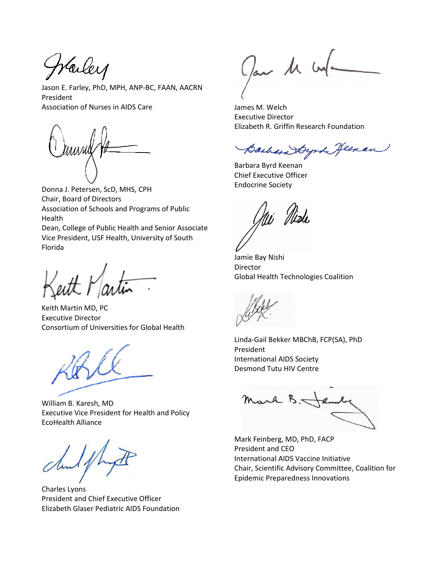Warley

Jason E. Farley, PhD, MPH, ANP-BC, FAAN, AACRN President Association of Nurses in AIDS Care

Donna J. Petersen, ScD, MHS, CPH Chair, Board of Directors Association of Schools and Programs of Public Health

Dean, College of Public Health and Senior Associate Vice President, USF Health, University of South Florida

Keith Martin MD, PC Executive Director Consortium of Universities for Global Health

William B. Karesh, MD Executive Vice President for Health and Policy EcoHealth Alliance

Charles Lyons President and Chief Executive Officer Elizabeth Glaser Pediatric AIDS Foundation

Jan 11 un

James M. Welch Executive Director Elizabeth R. Griffin Research Foundation

Barbara Dynk Jeenan

Barbara Byrd Keenan Chief Executive Officer Endocrine Society

Jamie Bay Nishi Director Global Health Technologies Coalition

Linda-Gail Bekker MBChB, FCP(SA), PhD President International AIDS Society Desmond Tutu HIV Centre

Mark B.

Mark Feinberg, MD, PhD, FACP President and CEO International AIDS Vaccine Initiative Chair, Scientific Advisory Committee, Coalition for Epidemic Preparedness Innovations